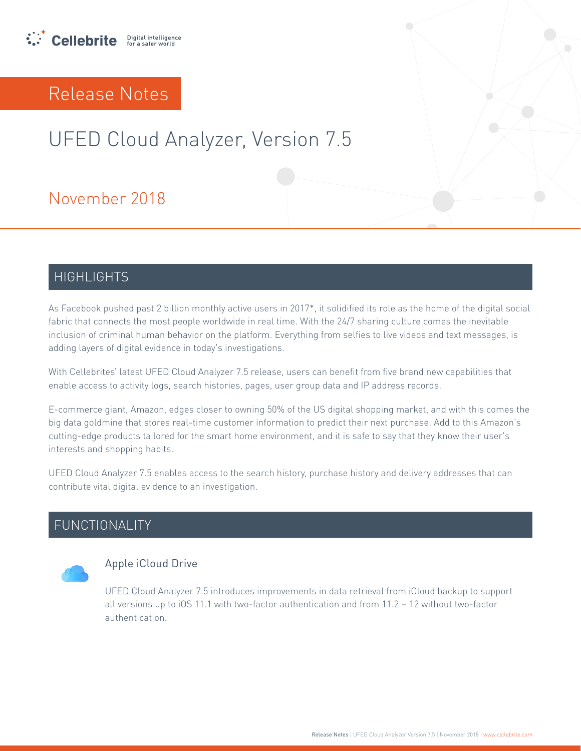

## Release Notes

# UFED Cloud Analyzer, Version 7.5

November 2018

#### HIGHLIGHTS

As Facebook pushed past 2 billion monthly active users in 2017\*, it solidified its role as the home of the digital social fabric that connects the most people worldwide in real time. With the 24/7 sharing culture comes the inevitable inclusion of criminal human behavior on the platform. Everything from selfies to live videos and text messages, is adding layers of digital evidence in today's investigations.

With Cellebrites' latest UFED Cloud Analyzer 7.5 release, users can benefit from five brand new capabilities that enable access to activity logs, search histories, pages, user group data and IP address records.

E-commerce giant, Amazon, edges closer to owning 50% of the US digital shopping market, and with this comes the big data goldmine that stores real-time customer information to predict their next purchase. Add to this Amazon's cutting-edge products tailored for the smart home environment, and it is safe to say that they know their user's interests and shopping habits.

UFED Cloud Analyzer 7.5 enables access to the search history, purchase history and delivery addresses that can contribute vital digital evidence to an investigation.

## FUNCTIONALITY



#### Apple iCloud Drive

UFED Cloud Analyzer 7.5 introduces improvements in data retrieval from iCloud backup to support all versions up to iOS 11.1 with two-factor authentication and from 11.2 - 12 without two-factor .authentication